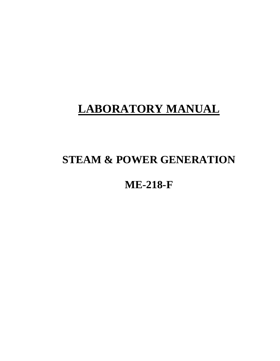# **LABORATORY MANUAL**

# **STEAM & POWER GENERATION**

# **ME-218-F**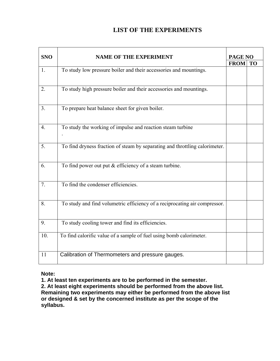# **LIST OF THE EXPERIMENTS**

| <b>SNO</b>     | <b>NAME OF THE EXPERIMENT</b>                                               | <b>PAGE NO</b> |    |
|----------------|-----------------------------------------------------------------------------|----------------|----|
|                |                                                                             |                | TO |
| 1.             | To study low pressure boiler and their accessories and mountings.           | <b>FROM</b>    |    |
| 2.             | To study high pressure boiler and their accessories and mountings.          |                |    |
| 3 <sub>1</sub> | To prepare heat balance sheet for given boiler.                             |                |    |
| 4.             | To study the working of impulse and reaction steam turbine                  |                |    |
| 5.             | To find dryness fraction of steam by separating and throttling calorimeter. |                |    |
| 6.             | To find power out put $&$ efficiency of a steam turbine.                    |                |    |
| 7.             | To find the condenser efficiencies.                                         |                |    |
| 8.             | To study and find volumetric efficiency of a reciprocating air compressor.  |                |    |
| 9.             | To study cooling tower and find its efficiencies.                           |                |    |
| 10.            | To find calorific value of a sample of fuel using bomb calorimeter.         |                |    |
| 11             | Calibration of Thermometers and pressure gauges.                            |                |    |

## **Note:**

**1. At least ten experiments are to be performed in the semester.** 

**2. At least eight experiments should be performed from the above list. Remaining two experiments may either be performed from the above list or designed & set by the concerned institute as per the scope of the syllabus.**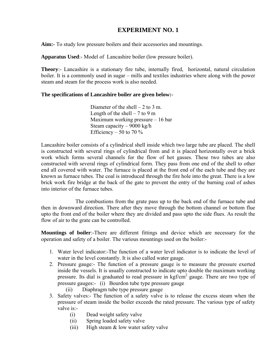**Aim:-** To study low pressure boilers and their accessories and mountings.

**Apparatus Used**:- Model of Lancashire boiler (low pressure boiler).

**Theory**:- Lancashire is a stationary fire tube, internally fired, horizontal, natural circulation boiler. It is a commonly used in sugar – mills and textiles industries where along with the power steam and steam for the process work is also needed.

#### **The specifications of Lancashire boiler are given below:-**

Diameter of the shell  $-2$  to 3 m. Length of the shell  $-7$  to 9 m Maximum working pressure – 16 bar Steam capacity – 9000 kg/h Efficiency – 50 to 70  $\%$ 

Lancashire boiler consists of a cylindrical shell inside which two large tube are placed. The shell is constructed with several rings of cylindrical from and it is placed horizontally over a brick work which forms several channels for the flow of hot gasses. These two tubes are also constructed with several rings of cylindrical form. They pass from one end of the shell to other end all covered with water. The furnace is placed at the front end of the each tube and they are known as furnace tubes. The coal is introduced through the fire hole into the great. There is a low brick work fire bridge at the back of the gate to prevent the entry of the burning coal of ashes into interior of the furnace tubes.

 The combustions from the grate pass up to the back end of the furnace tube and then in downward direction. There after they move through the bottom channel or bottom flue upto the front end of the boiler where they are divided and pass upto the side flues. As result the flow of air to the grate can be controlled.

**Mountings of boiler**:-There are different fittings and device which are necessary for the operation and safety of a boiler. The various mountings used on the boiler:-

- 1. Water level indicator:-The function of a water level indicator is to indicate the level of water in the level constantly. It is also called water gauge.
- 2. Pressure gauge:- The function of a pressure gauge is to measure the pressure exerted inside the vessels. It is usually constructed to indicate upto double the maximum working pressure. Its dial is graduated to read pressure in kgf/cm<sup>2</sup> gauge. There are two type of pressure gauges:- (i) Bourdon tube type pressure gauge
	- (ii) Diaphragm tube type pressure gauge
- 3. Safety valves:- The function of a safety valve is to release the excess steam when the pressure of steam inside the boiler exceeds the rated pressure. The various type of safety valve is -
	- (i) Dead weight safety valve
	- (ii) Spring loaded safety valve
	- (iii) High steam  $&$  low water safety valve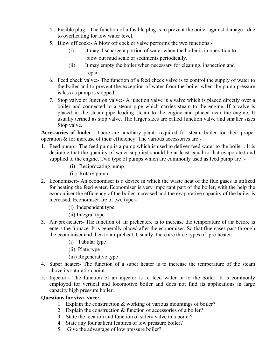- 4. Fusible plug:- The function of a fusible plug is to prevent the boiler against damage due to overheating for low water level.
- 5. Blow off cock:- A blow off cock or valve performs the two functions:-
	- (i) It may discharge a portion of water when the boiler is in operation to blow out mud scale or sediments periodically.
	- (ii) It may empty the boiler when necessary for cleaning, inspection and repair.
- 6. Feed check valve:- The function of a feed check valve is to control the supply of water to the boiler and to prevent the exception of water from the boiler when the pump pressure is less as pump is stopped.
- 7. Stop valve or Junction valve:- A junction valve is a valve which is placed directly over a boiler and connected to a steam pipe which carries steam to the engine. If a valve is placed in the steam pipe leading steam to the engine and placed near the engine. It usually termed as stop valve. The larger sizes are called Junction valve and smaller sizes Stop valve.

**Accessories of boiler**:- There are auxiliary plants required for steam boiler for their proper operation & for increase of their efficiency. The various accessories are:-

- 1. Feed pump:- The feed pump is a pump which is used to deliver feed water to the boiler . It is desirable that the quantity of water supplied should be at least equal to that evaporated and supplied to the engine. Two type of pumps which are commonly used as feed pump are :-
	- (i) Reciprocating pump
	- (ii) Rotary pump
- 2. Economiser:- An economiser is a device in which the waste heat of the flue gases is utilized for heating the feed water. Economiser is very important part of the boiler, with the help the economiser the efficiency of the boiler increased and the evaporative capacity of the boiler is increased. Economiser are of two type:-
	- (i) Independent type
	- (ii) Integral type
- 3. Air pre-heater:- The function of air preheatere is to increase the temperature of air before is enters the furnace. It is generally placed after the economiser. So that flue gases pass through the economiser and then to air preheat. Usually, there are three types of pre-heater:-
	- (i) Tubular type
	- (ii) Plate type
	- (iii) Regenerative type
- 4. Super heater:- The function of a super heater is to increase the temperature of the steam above its saturation point.
- 5. Injector:- The function of an injector is to feed water in to the boiler. It is commonly employed for vertical and locomotive boiler and does not find its applications in large capacity high pressure boiler.

- 1. Explain the construction  $\&$  working of various mountings of boiler?
- 2. Explain the construction & function of accessories of a boiler?
- 3. State the location and function of safety valve in a boiler?
- 4. State any four salient features of low pressure boiler?
- 5. Give the advantage of low pressure boiler?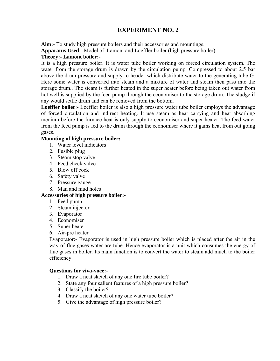**Aim:-** To study high pressure boilers and their accessories and mountings.

**Apparatus Used**:- Model of Lamont and Loeffler boiler (high pressure boiler).

### **Theory:**- **Lamont boiler:-**

It is a high pressure boiler. It is water tube boiler working on forced circulation system. The water from the storage drum is drawn by the circulation pump. Compressed to about 2.5 bar above the drum pressure and supply to header which distribute water to the generating tube G. Here some water is converted into steam and a mixture of water and steam then pass into the storage drum.. The steam is further heated in the super heater before being taken out water from hot well is supplied by the feed pump through the economiser to the storage drum. The sludge if any would settle drum and can be removed from the bottom.

**Loeffler boiler**:- Loeffler boiler is also a high pressure water tube boiler employs the advantage of forced circulation and indirect heating. It use steam as heat carrying and heat absorbing medium before the furnace heat is only supply to economiser and super heater. The feed water from the feed pump is fed to the drum through the economiser where it gains heat from out going gases.

### **Mounting of high pressure boiler:-**

- 1. Water level indicators
- 2. Fusible plug
- 3. Steam stop valve
- 4. Feed check valve
- 5. Blow off cock
- 6. Safety valve
- 7. Pressure gauge
- 8. Man and mud holes

### **Accessories of high pressure boiler:-**

- 1. Feed pump
- 2. Steam injector
- 3. Evaporator
- 4. Economiser
- 5. Super heater
- 6. Air-pre heater

Evaporator:- Evaporator is used in high pressure boiler which is placed after the air in the way of flue gases water are tube. Hence evaporator is a unit which consumes the energy of flue gases in boiler. Its main function is to convert the water to steam add much to the boiler efficiency.

- 1. Draw a neat sketch of any one fire tube boiler?
- 2. State any four salient features of a high pressure boiler?
- 3. Classify the boiler?
- 4. Draw a neat sketch of any one water tube boiler?
- 5. Give the advantage of high pressure boiler?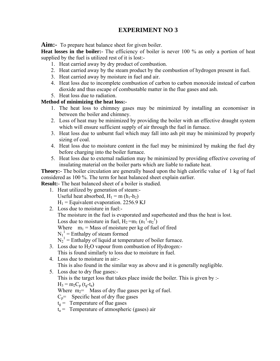Aim:- To prepare heat balance sheet for given boiler.

**Heat losses in the boiler:** The efficiency of boiler is never 100 % as only a portion of heat supplied by the fuel is utilized rest of it is lost:-

- 1. Heat carried away by dry product of combustion.
- 2. Heat carried away by the steam product by the combustion of hydrogen present in fuel.
- 3. Heat carried away by moisture in fuel and air.
- 4. Heat loss due to incomplete combustion of carbon to carbon monoxide instead of carbon dioxide and thus escape of combustable matter in the flue gases and ash.
- 5. Heat loss due to radiation.

## **Method of minimizing the heat loss:-**

- 1. The heat loss to chimney gases may be minimized by installing an economiser in between the boiler and chimney.
- 2. Loss of heat may be minimized by providing the boiler with an effective draught system which will ensure sufficient supply of air through the fuel in furnace.
- 3. Heat loss due to unburnt fuel which may fall into ash pit may be minimized by properly sizing of coal.
- 4. Heat loss due to moisture content in the fuel may be minimized by making the fuel dry before charging into the boiler furnace.
- 5. Heat loss due to external radiation may be minimized by providing effective covering of insulating material on the boiler parts which are liable to radiate heat.

**Theory:** The boiler circulation are generally based upon the high calorific value of 1 kg of fuel considered as 100 %. The term for heat balanced sheet explain earlier.

**Result:**- The heat balanced sheet of a boiler is studied.

- 1. Heat utilized by generation of steam:- Useful heat absorbed,  $H_1 = m(h_1-h_2)$  $H_1$  = Equivalent evaporation. 2256.9 KJ
- 2. Loss due to moisture in fuel:- The moisture in the fuel is evaporated and superheated and thus the heat is lost. Loss due to moisture in fuel,  $H_2 = m_1 (n_1^1-n_2^1)$ Where  $m_1$  = Mass of moisture per kg of fuel of fired  $N_1^1$  = Enthalpy of steam formed  $N_2$ <sup>1</sup> = Enthalpy of liquid at temperature of boiler furnace. 3. Loss due to  $H_2O$  vapour from combustion of Hydrogen:-
- This is found similarly to loss due to moisture in fuel.
- 4. Loss due to moisture in air:- This is also found in the similar way as above and it is generally negligible.
- 5. Loss due to dry flue gases:- This is the target loss that takes place inside the boiler. This is given by :-  $H_3 = m_2 C_p (t_g-t_a)$

Where  $m_2$ = Mass of dry flue gases per kg of fuel.

- $C_n$ = Specific heat of dry flue gases
- $t_g$  = Temperature of flue gases
- $t_a$  = Temperature of atmospheric (gases) air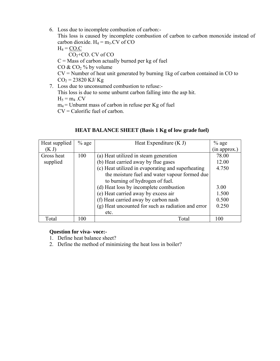6. Loss due to incomplete combustion of carbon:-

This loss is caused by incomplete combustion of carbon to carbon monoxide instead of carbon dioxide.  $H_4 = m_3$ . CV of CO

$$
H_4 = \underbrace{CO.C}_{CO_2 + CO. CV \text{ of CO}}
$$
  
C = Mass of carbon actually burned per kg of fuel  
CO & CO<sub>2</sub> % by volume  
CV = Number of heat unit generated by burning 1kg of carbon contained in CO to  
CO<sub>2</sub> = 23820 KJ/Kg

7. Loss due to unconsumed combustion to refuse:- This loss is due to some unburnt carbon falling into the asp hit.  $H_5 = m_4$ .CV  $m_4$  = Unburnt mass of carbon in refuse per Kg of fuel CV = Calorific fuel of carbon.

| Heat supplied | $%$ age | Heat Expenditure $(K J)$                           | $%$ age      |
|---------------|---------|----------------------------------------------------|--------------|
| (K J)         |         |                                                    | (in approx.) |
| Gross heat    | 100     | (a) Heat utilized in steam generation              | 78.00        |
| supplied      |         | (b) Heat carried away by flue gases                | 12.00        |
|               |         | (c) Heat utilized in evaporating and superheating  | 4.750        |
|               |         | the moisture fuel and water vapour formed due      |              |
|               |         | to burning of hydrogen of fuel.                    |              |
|               |         | (d) Heat loss by incomplete combustion             | 3.00         |
|               |         | (e) Heat carried away by excess air                | 1.500        |
|               |         | (f) Heat carried away by carbon nash               | 0.500        |
|               |         | (g) Heat uncounted for such as radiation and error | 0.250        |
|               |         | etc.                                               |              |
| Total         | 100     | Total                                              | 100          |

## **HEAT BALANCE SHEET (Basis 1 Kg of low grade fuel)**

- 1. Define heat balance sheet?
- 2. Define the method of minimizing the heat loss in boiler?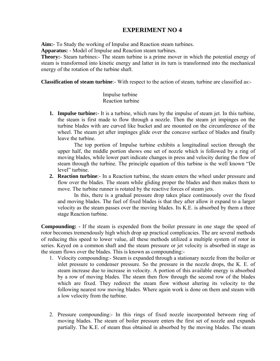**Aim:-** To Study the working of Impulse and Reaction steam turbines.

**Apparatus:** - Model of Impulse and Reaction steam turbines.

**Theory:**- Steam turbines:- The steam turbine is a prime mover in which the potential energy of steam is transformed into kinetic energy and latter in its turn is transformed into the mechanical energy of the rotation of the turbine shaft.

**Classification of steam turbine**:- With respect to the action of steam, turbine are classified as:-

 Impulse turbine Reaction turbine

**1. Impulse turbine:-** It is a turbine, which runs by the impulse of steam jet. In this turbine, the steam is first made to flow through a nozzle. Then the steam jet impinges on the turbine blades with are curved like bucket and are mounted on the circumference of the wheel. The steam jet after impinges glide over the concave surface of blades and finally leave the turbine.

The top portion of Impulse turbine exhibits a longitudinal section through the upper half, the middle portion shows one set of nozzle which is followed by a ring of moving blades, while lower part indicate changes in press and velocity during the flow of steam through the turbine. The principle equation of this turbine is the well known "De level" turbine.

**2. Reaction turbine**:- In a Reaction turbine, the steam enters the wheel under pressure and flow over the blades. The steam while gliding proper the blades and then makes them to move. The turbine runner is rotated by the reactive forces of steam jets.

In this, there is a gradual pressure drop takes place continuously over the fixed and moving blades. The fuel of fixed blades is that they after allow it expand to a larger velocity as the steam passes over the moving blades. Its K.E. is absorbed by them a three stage Reaction turbine.

**Compounding: -** If the steam is expended from the boiler pressure in one stage the speed of rotor becomes tremendously high which drop up practical complicacies. The are several methods of reducing this speed to lower value, all these methods utilized a multiple system of rotor in series. Keyed on a common shaft and the steam pressure or jet velocity is absorbed in stage as the steam flows over the blades. This is known as compounding:-

- 1. Velocity compounding:- Steam is expanded through a stationary nozzle from the boiler or inlet pressure to condenser pressure. So the pressure in the nozzle drops, the K. E. of steam increase due to increase in velocity. A portion of this available energy is absorbed by a row of moving blades. The steam then flow through the second row of the blades which are fixed. They redirect the steam flow without altering its velocity to the following nearest row moving blades. Where again work is done on them and steam with a low velocity from the turbine.
- 2. Pressure compounding:- In this rings of fixed nozzle incorporated between ring of moving blades. The steam of boiler pressure enters the first set of nozzle and expands partially. The K.E. of steam thus obtained in absorbed by the moving blades. The steam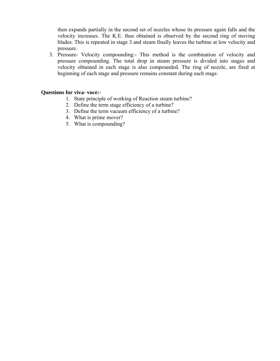then expands partially in the second set of nozzles whose its pressure again falls and the velocity increases. The K.E. thus obtained is observed by the second ring of moving blades. This is repeated in stage 3 and steam finally leaves the turbine at low velocity and pressure.

3. Pressure- Velocity compounding:- This method is the combination of velocity and pressure compounding. The total drop in steam pressure is divided into stages and velocity obtained in each stage is also compounded. The ring of nozzle, are fired at beginning of each stage and pressure remains constant during each stage.

- 1. State principle of working of Reaction steam turbine?
- 2. Define the term stage efficiency of a turbine?
- 3. Define the term vacuum efficiency of a turbine?
- 4. What is prime mover?
- 5. What is compounding?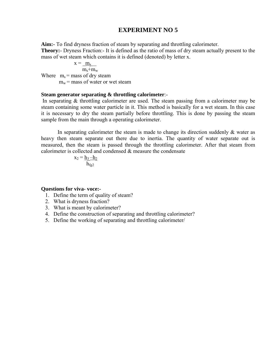**Aim:-** To find dryness fraction of steam by separating and throttling calorimeter. **Theory:**- Dryness Fraction:- It is defined as the ratio of mass of dry steam actually present to the mass of wet steam which contains it is defined (denoted) by letter x.

$$
x = \underline{m_s}
$$

 $m_s+m_w$ Where  $m_s$  = mass of dry steam  $m_w$  = mass of water or wet steam

#### **Steam generator separating & throttling calorimeter**:-

 In separating & throttling calorimeter are used. The steam passing from a calorimeter may be steam containing some water particle in it. This method is basically for a wet steam. In this case it is necessary to dry the steam partially before throttling. This is done by passing the steam sample from the main through a operating calorimeter.

In separating calorimeter the steam is made to change its direction suddenly  $\&$  water as heavy then steam separate out there due to inertia. The quantity of water separate out is measured, then the steam is passed through the throttling calorimeter. After that steam from calorimeter is collected and condensed & measure the condensate

$$
x_2 = \underline{h_3 - h_2}
$$

$$
\underline{h_{fg2}}
$$

- 1. Define the term of quality of steam?
- 2. What is dryness fraction?
- 3. What is meant by calorimeter?
- 4. Define the construction of separating and throttling calorimeter?
- 5. Define the working of separating and throttling calorimeter/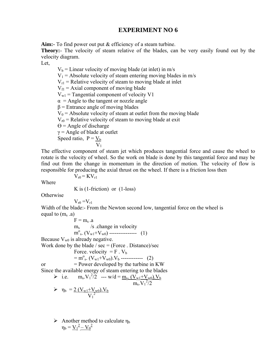**Aim:-** To find power out put & efficiency of a steam turbine.

**Theory:**- The velocity of steam relative of the blades, can be very easily found out by the velocity diagram.

Let,

 $V_b$  = Linear velocity of moving blade (at inlet) in m/s  $V_1$  = Absolute velocity of steam entering moving blades in m/s  $V_{r1}$  = Relative velocity of steam to moving blade at inlet  $V_{\text{fl}}$  = Axial component of moving blade  $V_{w1}$  = Tangential component of velocity V1  $\alpha$  = Angle to the tangent or nozzle angle  $β =$  Entrance angle of moving blades  $V_0$  = Absolute velocity of steam at outlet from the moving blade  $V_{r0}$  = Relative velocity of steam to moving blade at exit  $\Theta$  = Angle of discharge  $\gamma$  = Angle of blade at outlet Speed ratio,  $P = V_b$  $V_1$ 

The effective component of steam jet which produces tangential force and cause the wheel to rotate is the velocity of wheel. So the work on blade is done by this tangential force and may be find out from the change in momentum in the direction of motion. The velocity of flow is responsible for producing the axial thrust on the wheel. If there is a friction loss then

 $V_{r0} = KV_{r1}$ 

Where

K is (1-friction) or (1-loss)

**Otherwise** 

 $V_{r0} = V_{r1}$ 

Width of the blade:- From the Newton second low, tangential force on the wheel is equal to  $(m_s \ .a)$ 

 $F = m_s \cdot a$  $m_s$  /s .change in velocity  $m_{s}^{o}$  (V<sub>w1</sub>+V<sub>w0</sub>) ----------------- (1) Because  $V_{w0}$  is already negative. Work done by the blade /  $sec = (Force \cdot Distance)/sec$ Force. velocity  $=$  F .  $V_b$  $= m^{o}_{s}$ . (V<sub>w1</sub>+V<sub>w0</sub>). V<sub>b</sub> ------------- (2) or  $=$  Power developed by the turbine in KW Since the available energy of steam entering to the blades ► i.e.  $m_s.V_1^2/2$  --- w/d =  $\underline{m_s. (V_{w1}+V_{w0}).V_b}$  $\frac{1}{\text{m}_s \cdot \text{V}_1^2/2}$  $\triangleright$   $\eta_b = 2 (V_{w1} + V_{w0}) V_b$  $\overline{V_1}^2$ 

 $\triangleright$  Another method to calculate  $\eta_b$  $\eta_b = \underline{V_1}^2 - \underline{V_0}^2$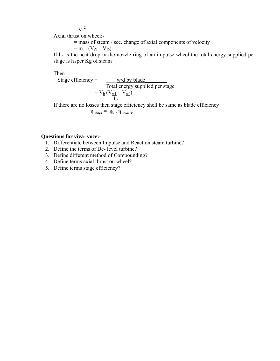$V_1^2$ 

Axial thrust on wheel:-

= mass of steam / sec. change of axial components of velocity

 $=$  m<sub>s</sub> . (V<sub>f1</sub> – V<sub>f0</sub>)

If  $h_d$  is the heat drop in the nozzle ring of an impulse wheel the total energy supplied per stage is  $h_d$  per Kg of steam

Then

Stage efficiency =  $\qquad$  w/d by blade Total energy supplied per stage  $=$   $V_{b}$   $(V_{w1} - V_{w0})$ h<sub>d</sub>

If there are no losses then stage efficiency shell be same as blade efficiency

 $\eta_{\text{stage}} = \eta_{\text{b}} \cdot \eta_{\text{ nozzle}}$ .

- 1. Differentiate between Impulse and Reaction steam turbine?
- 2. Define the terms of De- level turbine?
- 3. Define different method of Compounding?
- 4. Define terms axial thrust on wheel?
- 5. Define terms stage efficiency?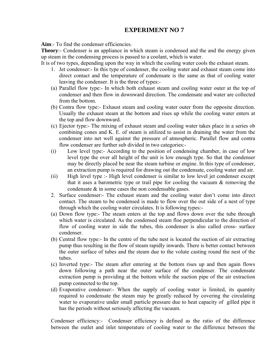**Aim**:- To find the condenser efficiencies.

**Theory:**- Condenser is an appliance in which steam is condensed and the and the energy given up steam in the condensing process is passed to a coolant, which is water.

It is of two types, depending upon the way in which the cooling water cools the exhaust steam.

- 1. Jet condenser:- In this type of condenser, the cooling water and exhaust steam come into direct contact and the temperature of condensate is the same as that of cooling water leaving the condenser. It is the three of types:-
- (a) Parallel flow type:- In which both exhaust steam and cooling water outer at the top of condenser and then flow in downward direction. The condensate and water are collected from the bottom.
- (b) Contra flow type:- Exhaust steam and cooling water outer from the opposite direction. Usually the exhaust steam at the bottom and rises up while the cooling water enters at the top and flow downward.
- (c) Ejector type:- The mixing of exhaust steam and cooling water takes place in a series ob combining cones and K. E. of steam is utilized to assist in draining the water from the condenser into net well against the pressure of atmospheric. Parallel flow and contra flow condenser are further sub divided in two categories:-
- (i) Low level type:- According to the position of condensing chamber, in case of low level type the over all height of the unit is low enough type. So that the condenser may be directly placed be near the steam turbine or engine. In this type of condenser, an extraction pump is required for drawing out the condensate, cooling water and air.
- (ii) High level type :- High level condenser is similar to low level jet condenser except that it uses a barometric type or trail pipe for cooling the vacuum  $\&$  removing the condensate & in some cases the non condensable gases.
- 2. Surface condenser:- The exhaust steam and the cooling water don't come into direct contact. The steam to be condensed is made to flow over the out side of a nest of type through which the cooling water circulates. It is following types:-
- (a) Down flow type:- The steam enters at the top and flows down over the tube through which water is circulated. As the condensed steam floe perpendicular to the direction of flow of cooling water in side the tubes, this condenser is also called cross- surface condenser.
- (b) Central flow type:- In the centre of the tube nest is located the suction of air extracting pump thus resulting in the flow of steam rapidly inwards. There is better contact between the outer surface of tubes and the steam due to the volute casting round the nest of the tubes.
- (c) Inverted type:- The steam after entering at the bottom rises up and then again flows down following a path near the outer surface of the condenser. The condensate extraction pump is providing at the bottom while the suction pipe of the air extraction pump connected to the top.
- (d) Evaporative condenser:- When the supply of cooling water is limited, its quantity required to condensate the steam may be greatly reduced by covering the circulating water to evaporative under small particle pressure due to heat capacity of gilled pipe it has the periods without seriously affecting the vacuum.

Condenser efficiency:- Condenser efficiency is defined as the ratio of the difference between the outlet and inlet temperature of cooling water to the difference between the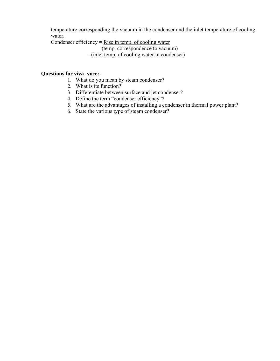temperature corresponding the vacuum in the condenser and the inlet temperature of cooling water.

Condenser efficiency  $=$  Rise in temp. of cooling water

(temp. correspondence to vacuum)

- (inlet temp. of cooling water in condenser)

- 1. What do you mean by steam condenser?
- 2. What is its function?
- 3. Differentiate between surface and jet condenser?
- 4. Define the term "condenser efficiency"?
- 5. What are the advantages of installing a condenser in thermal power plant?
- 6. State the various type of steam condenser?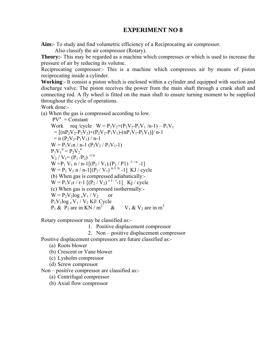**Aim:-** To study and find volumetric efficiency of a Reciprocating air compressor.

Also classify the air compressor (Rotary).

**Theory:-** This may be regarded as a machine which compresses or which is used to increase the pressure of air by reducing its volume.

Reciprocating compressor:- This is a machine which compresses air by means of piston reciprocating inside a cylinder.

**Working**:- It consist a piston which is enclosed within a cylinder and equipped with suction and discharge valve. The piston receives the power from the main shaft through a crank shaft and connecting rod. A fly wheel is fitted on the main shaft to ensure turning moment to be supplied throughout the cycle of operations.

Work done:-

(a) When the gas is compressed according to low.

 $PV^n =$ Constant Work req /cycle  $W = P_2V_2+(P_2V_2-P_1V_1/n-1) - P_1V_1$  $=$   $[(nP_2V_2-P_2V_2)+(P_2V_2-P_1V_1)-(nP_1V_1-P_1V_1)]/n-1$  $= n (P_2V_2-P_1V_1)/n-1$  $W = P_1V_1n / n-1 (P_2V_2 / P_1V_1-1)$  $P_1V_1^{\text{n}} = P_2V_2^{\text{n}}$  $V_2 / V_1 = (P_1 / P_2)^{-1/n}$  $W = P_1 V_1 n / n-1[(P_2 / V_1).(P_2 / P_1)$ <sup>-1/n</sup> -1]  $W = P_1 V_1 n / n - 1[(P_2 / V_1)^{n-1/n} - 1] KJ / cycle$ (b) When gas is compressed adiabatically:-  $W = P_1V_1r / r-1 [(P_2 / V_2)^{r-1/r}-1]$  Kj/cycle (c) When gas is compressed isothermally:-  $W = P_2 V_2 \log_e V_1 / V_2$  or  $P_1V_1log_e V_1 / V_2$  KJ/ Cycle  $P_1 \& P_2$  are in KN / m<sup>2</sup> &  $V_1 \& V_2$  are in m<sup>3</sup>

Rotary compressor may be classified as:-

- 1. Positive displacement compressor
- 2. Non positive displacement compressor

Positive displacement compressors are future classified as:-

- (a) Roots blower
- (b) Crescent or Vane blower
- (c) Lysholm compressor
- (d) Screw compressor

Non – positive compressor are classified as:-

(a) Centrifugal compressor

(b) Axial flow compressor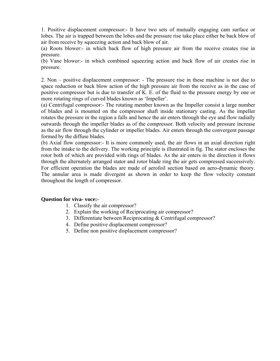1. Positive displacement compressor:- It have two sets of mutually engaging cam surface or lobes. The air is trapped between the lobes and the pressure rise take place either be back blow of air from receive by squeezing action and back blow of air.

(a) Roots blower:- in which back flow of high pressure air from the receive creates rise in pressure.

(b) Vane blower:- in which combined squeezing action and back flow of air creates rise in pressure.

2. Non – positive displacement compressor: - The pressure rise in these machine is not due to space reduction or back blow action of the high pressure air from the receive as in the case of positive compressor but is due to transfer of K. E. of the fluid to the pressure energy by one or more rotating rings of curved blades known as 'Impeller'.

(a) Centrifugal compressor:- The rotating member known as the Impeller consist a large number of blades and is mounted on the compressor shaft inside stationary casting. As the impeller rotates the pressure in the region a falls and hence the air enters through the eye and flow radially outwards through the impeller blades as of the compressor. Both velocity and pressure increase as the air flow through the cylinder or impeller blades. Air enters through the convergent passage formed by the diffuse blades.

(b) Axial flow compressor:- It is more commonly used, the air flows in an axial direction right from the intake to the delivery. The working principle is illustrated in fig. The stator encloses the rotor both of which are provided with rings of blades. As the air enters in the direction it flows through the alternately arranged stator and rotor blade ring the air gets compressed successively. For efficient operation the blades are made of aerofoil section based on aero-dynamic theory. The annular area is made divergent as shown in order to keep the flow velocity constant throughout the length of compressor.

- 1. Classify the air compressor?
- 2. Explain the working of Reciprocating air compressor?
- 3. Differentiate between Reciprocating & Centrifugal compressor?
- 4. Define positive displacement compressor?
- 5. Define non positive displacement compressor?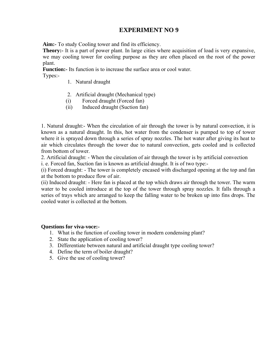**Aim:-** To study Cooling tower and find its efficiency.

**Theory:** It is a part of power plant. In large cities where acquisition of load is very expansive, we may cooling tower for cooling purpose as they are often placed on the root of the power plant.

**Function:**- Its function is to increase the surface area or cool water.

Types:-

- 1. Natural draught
- 2. Artificial draught (Mechanical type)
- (i) Forced draught (Forced fan)
- (ii) Induced draught (Suction fan)

1. Natural draught:- When the circulation of air through the tower is by natural convection, it is known as a natural draught. In this, hot water from the condenser is pumped to top of tower where it is sprayed down through a series of spray nozzles. The hot water after giving its heat to air which circulates through the tower due to natural convection, gets cooled and is collected from bottom of tower.

2. Artificial draught: - When the circulation of air through the tower is by artificial convection i. e. Forced fan, Suction fan is known as artificial draught. It is of two type:-

(i) Forced draught: - The tower is completely encased with discharged opening at the top and fan at the bottom to produce flow of air.

(ii) Induced draught: - Here fan is placed at the top which draws air through the tower. The warm water to be cooled introduce at the top of the tower through spray nozzles. It falls through a series of trays which are arranged to keep the falling water to be broken up into fins drops. The cooled water is collected at the bottom.

- 1. What is the function of cooling tower in modern condensing plant?
- 2. State the application of cooling tower?
- 3. Differentiate between natural and artificial draught type cooling tower?
- 4. Define the term of boiler draught?
- 5. Give the use of cooling tower?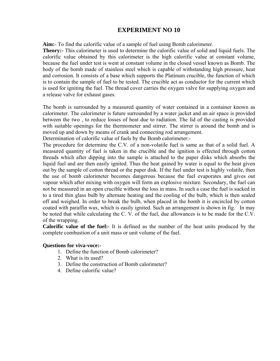**Aim:**- To find the calorific value of a sample of fuel using Bomb calorimeter.

**Theory:-** This calorimeter is used to determine the calorific value of solid and liquid fuels. The calorific value obtained by this calorimeter is the high calorific value at constant volume, because the fuel under test is went at constant volume in the closed vessel known as Bomb. The body of the bomb made of stainless steel which is capable of withstanding high pressure, heat and corrosion. It consists of a base which supports the Platinum crucible, the function of which is to contain the sample of fuel to be tested. The crucible act as conductor for the current which is used for igniting the fuel. The thread cover carries the oxygen valve for supplying oxygen and a release valve for exhaust gases.

The bomb is surrounded by a measured quantity of water contained in a container known as calorimeter. The calorimeter is future surrounded by a water jacket and an air space is provided between the two , to reduce losses of heat due to radiation. The lid of the casting is provided with suitable openings for the thermometer and stirrer. The stirrer is around the bomb and is moved up and down by means of crank and connecting rod arrangement.

Determination of calorific value of fuels by the Bomb calorimeter:-

The procedure for determine the C.V. of a non-volatile fuel is same as that of a solid fuel. A measured quantity of fuel is taken in the crucible and the ignition is effected through cotton threads which after dipping into the sample is attached to the paper disks which absorbs the liquid fuel and are then easily ignited. Thus the heat gained by water is equal to the heat given out by the sample of cotton thread or the paper disk. If the fuel under test is highly volatile, then the use of bomb calorimeter becomes dangerous because the fuel evaporates and gives out vapour which after mixing with oxygen will form an explosive mixture. Secondary, the fuel can not be measured in an open crucible without the loss in mass. In such a case the fuel is sucked in to a tired thin glass bulb by alternate heating and the cooling of the bulb, which is then sealed off and weighed. In order to break the bulb, when placed in the bomb it is encircled by cotton coated with paraffin wax, which is easily ignited. Such an arrangement is shown in fig. In may be noted that while calculating the C. V. of the fuel, due allowances is to be made for the C.V. of the wrapping.

**Calorific value of the fuel:-** It is defined as the number of the heat units produced by the complete combustion of a unit mass or unit volume of the fuel.

- 1. Define the function of Bomb calorimeter?
- 2. What is its used?
- 3. Define the construction of Bomb calorimeter?
- 4. Define calorific value?